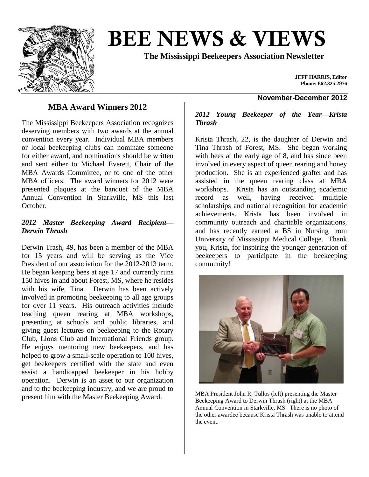

# **BEE NEWS & VIEWS**

**The Mississippi Beekeepers Association Newsletter**

**JEFF HARRIS, Editor Phone: 662.325.2976**

## **MBA Award Winners 2012**

The Mississippi Beekeepers Association recognizes deserving members with two awards at the annual convention every year. Individual MBA members or local beekeeping clubs can nominate someone for either award, and nominations should be written and sent either to Michael Everett, Chair of the MBA Awards Committee, or to one of the other MBA officers. The award winners for 2012 were presented plaques at the banquet of the MBA Annual Convention in Starkville, MS this last October.

#### *2012 Master Beekeeping Award Recipient— Derwin Thrash*

Derwin Trash, 49, has been a member of the MBA for 15 years and will be serving as the Vice President of our association for the 2012-2013 term. He began keeping bees at age 17 and currently runs 150 hives in and about Forest, MS, where he resides with his wife, Tina. Derwin has been actively involved in promoting beekeeping to all age groups for over 11 years. His outreach activities include teaching queen rearing at MBA workshops, presenting at schools and public libraries, and giving guest lectures on beekeeping to the Rotary Club, Lions Club and International Friends group. He enjoys mentoring new beekeepers, and has helped to grow a small-scale operation to 100 hives, get beekeepers certified with the state and even assist a handicapped beekeeper in his hobby operation. Derwin is an asset to our organization and to the beekeeping industry, and we are proud to present him with the Master Beekeeping Award.

# **November-December 2012**

#### *2012 Young Beekeeper of the Year—Krista Thrash*

Krista Thrash, 22, is the daughter of Derwin and Tina Thrash of Forest, MS. She began working with bees at the early age of 8, and has since been involved in every aspect of queen rearing and honey production. She is an experienced grafter and has assisted in the queen rearing class at MBA workshops. Krista has an outstanding academic record as well, having received multiple scholarships and national recognition for academic achievements. Krista has been involved in community outreach and charitable organizations, and has recently earned a BS in Nursing from University of Mississippi Medical College. Thank you, Krista, for inspiring the younger generation of beekeepers to participate in the beekeeping community!



MBA President John R. Tullos (left) presenting the Master Beekeeping Award to Derwin Thrash (right) at the MBA Annual Convention in Starkville, MS. There is no photo of the other awardee because Krista Thrash was unable to attend the event.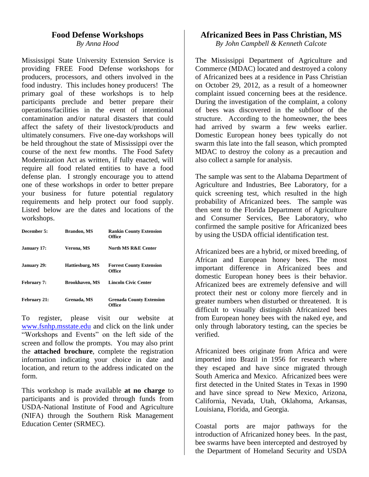#### **Food Defense Workshops** *By Anna Hood*

Mississippi State University Extension Service is providing FREE Food Defense workshops for producers, processors, and others involved in the food industry. This includes honey producers! The primary goal of these workshops is to help participants preclude and better prepare their operations/facilities in the event of intentional contamination and/or natural disasters that could affect the safety of their livestock/products and ultimately consumers. Five one-day workshops will be held throughout the state of Mississippi over the course of the next few months. The Food Safety Modernization Act as written, if fully enacted, will require all food related entities to have a food defense plan. I strongly encourage you to attend one of these workshops in order to better prepare your business for future potential regulatory requirements and help protect our food supply. Listed below are the dates and locations of the workshops.

| December 5:         | <b>Brandon, MS</b>    | <b>Rankin County Extension</b><br>Office         |
|---------------------|-----------------------|--------------------------------------------------|
| <b>January 17:</b>  | Verona, MS            | North MS R&E Center                              |
| <b>January 29:</b>  | Hattiesburg, MS       | <b>Forrest County Extension</b><br><b>Office</b> |
| <b>February 7:</b>  | <b>Brookhaven, MS</b> | <b>Lincoln Civic Center</b>                      |
| <b>February 21:</b> | Grenada, MS           | <b>Grenada County Extension</b><br>Office        |

To register, please visit our website at [www.fsnhp.msstate.edu](http://www.fsnhp.msstate.edu/) and click on the link under "Workshops and Events" on the left side of the screen and follow the prompts. You may also print the **attached brochure**, complete the registration information indicating your choice in date and location, and return to the address indicated on the form.

This workshop is made available **at no charge** to participants and is provided through funds from USDA-National Institute of Food and Agriculture (NIFA) through the Southern Risk Management Education Center (SRMEC).

#### **Africanized Bees in Pass Christian, MS**

*By John Campbell & Kenneth Calcote*

The Mississippi Department of Agriculture and Commerce (MDAC) located and destroyed a colony of Africanized bees at a residence in Pass Christian on October 29, 2012, as a result of a homeowner complaint issued concerning bees at the residence. During the investigation of the complaint, a colony of bees was discovered in the subfloor of the structure. According to the homeowner, the bees had arrived by swarm a few weeks earlier. Domestic European honey bees typically do not swarm this late into the fall season, which prompted MDAC to destroy the colony as a precaution and also collect a sample for analysis.

The sample was sent to the Alabama Department of Agriculture and Industries, Bee Laboratory, for a quick screening test, which resulted in the high probability of Africanized bees. The sample was then sent to the Florida Department of Agriculture and Consumer Services, Bee Laboratory, who confirmed the sample positive for Africanized bees by using the USDA official identification test.

Africanized bees are a hybrid, or mixed breeding, of African and European honey bees. The most important difference in Africanized bees and domestic European honey bees is their behavior. Africanized bees are extremely defensive and will protect their nest or colony more fiercely and in greater numbers when disturbed or threatened. It is difficult to visually distinguish Africanized bees from European honey bees with the naked eye, and only through laboratory testing, can the species be verified.

Africanized bees originate from Africa and were imported into Brazil in 1956 for research where they escaped and have since migrated through South America and Mexico. Africanized bees were first detected in the United States in Texas in 1990 and have since spread to New Mexico, Arizona, California, Nevada, Utah, Oklahoma, Arkansas, Louisiana, Florida, and Georgia.

Coastal ports are major pathways for the introduction of Africanized honey bees. In the past, bee swarms have been intercepted and destroyed by the Department of Homeland Security and USDA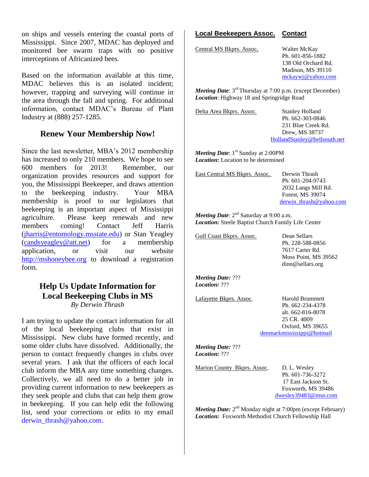on ships and vessels entering the coastal ports of Mississippi. Since 2007, MDAC has deployed and monitored bee swarm traps with no positive interceptions of Africanized bees.

Based on the information available at this time, MDAC believes this is an isolated incident; however, trapping and surveying will continue in the area through the fall and spring. For additional information, contact MDAC's Bureau of Plant Industry at (888) 257-1285.

#### **Renew Your Membership Now!**

Since the last newsletter, MBA's 2012 membership has increased to only 210 members. We hope to see 600 members for 2013! Remember, our organization provides resources and support for you, the Mississippi Beekeeper, and draws attention to the beekeeping industry. Your MBA membership is proof to our legislators that beekeeping is an important aspect of Mississippi agriculture. Please keep renewals and new members coming! Contact Jeff Harris [\(jharris@entomology.msstate.edu\)](mailto:jharris@entomology.msstate.edu) or Stan Yeagley [\(candsyeagley@att.net\)](mailto:candsyeagley@att.net) for a membership application, or visit our website [http://mshoneybee.org](http://mshoneybee.org/) to download a registration form.

#### **Help Us Update Information for Local Beekeeping Clubs in MS** *By Derwin Thrash*

I am trying to update the contact information for all of the local beekeeping clubs that exist in Mississippi. New clubs have formed recently, and some older clubs have dissolved. Additionally, the person to contact frequently changes in clubs over several years. I ask that the officers of each local club inform the MBA any time something changes. Collectively, we all need to do a better job in providing current information to new beekeepers as they seek people and clubs that can help them grow in beekeeping. If you can help edit the following list, send your corrections or edits to my email [derwin\\_thrash@yahoo.com.](mailto:derwin_thrash@yahoo.com)

#### **Local Beekeepers Assoc. Contact**

Central MS Bkprs. Assoc**.** Walter McKay

Ph. 601-856-1882 138 Old Orchard Rd. Madison, MS 39110 [mckaywj@yahoo.com](mailto:mckaywj@yahoo.com) 

*Meeting Date*: 3<sup>rd</sup> Thursday at 7:00 p.m. (except December) *Location*: Highway 18 and Springridge Road

Delta Area Bkprs. Assoc. Stanley Holland

Ph. 662-303-0846 231 Blue Creek Rd. Drew, MS 38737 [HollandStanley@bellsouth.net](mailto:HollandStanley@bellsouth.net)

*Meeting Date*: 1<sup>st</sup> Sunday at 2:00PM *Location:* Location to be determined

East Central MS Bkprs. Assoc. Derwin Thrash Ph. 601-204-9743 2032 Langs Mill Rd. Forest, MS 39074 [derwin\\_thrash@yahoo.com](mailto:derwin_thrash@yahoo.com)

*Meeting Date*:  $2<sup>nd</sup>$  Saturday at 9:00 a.m. *Location:* Steele Baptist Church Family Life Center

Gulf Coast Bkprs. Assoc. Dean Sellars

Ph. 228-588-0856 7617 Carter Rd. Moss Point, MS 39562 dino@sellars.org

*Meeting Date:* ??? *Location:* ???

Lafayette Bkprs. Assoc. Harold Brummett

Ph. 662-234-4378 alt. 662-816-8078 25 CR. 4009 Oxford, MS 39655 [denmarkmississippi@hotmail](mailto:denmarkmississippi@hotmail) 

*Meeting Date:* ??? *Location:* ???

Marion County Bkprs. Assoc. D. L. Wesley

Ph. 601-736-3272 17 East Jackson St. Foxworth, MS 39486 [dwesley39483@msn.com](mailto:dwesley39483@msn.com)

*Meeting Date:* 2<sup>nd</sup> Monday night at 7:00pm (except February) *Location:* Foxworth Methodist Church Fellowship Hall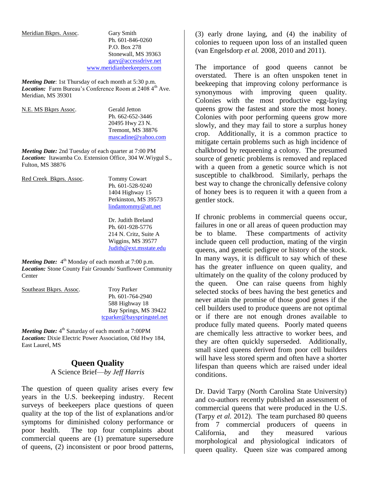Meridian Bkprs. Assoc. Gary Smith

Ph. 601-846-0260 P.O. Box 278 Stonewall, MS 39363 [gary@accessdrive.net](mailto:gary@accessdrive.net)  [www.meridianbeekeepers.com](http://www.meridianbeekeepers.com/) 

*Meeting Date*: 1st Thursday of each month at 5:30 p.m. *Location:* Farm Bureau's Conference Room at 2408 4<sup>th</sup> Ave. Meridian, MS 39301

| N.E. MS Bkprs Assoc. | <b>Gerald Jetton</b> |
|----------------------|----------------------|
|                      | Ph. 662-652-3446     |
|                      | 20495 Hwy 23 N.      |
|                      | Tremont, MS 38876    |
|                      | mascadine@yahoo.com  |
|                      |                      |

*Meeting Date:* 2nd Tuesday of each quarter at 7:00 PM *Location:* Itawamba Co. Extension Office, 304 W.Wiygul S., Fulton, MS 38876

| Red Creek Bkprs. Assoc. | <b>Tommy Cowart</b>    |
|-------------------------|------------------------|
|                         | Ph. 601-528-9240       |
|                         | 1404 Highway 15        |
|                         | Perkinston, MS 39573   |
|                         | lindantommy@att.net    |
|                         | Dr. Judith Breland     |
|                         | Ph. 601-928-5776       |
|                         | 214 N. Critz, Suite A  |
|                         | Wiggins, MS 39577      |
|                         | Judith@ext.msstate.edu |
|                         |                        |

*Meeting Date:* 4<sup>th</sup> Monday of each month at 7:00 p.m. *Location:* Stone County Fair Grounds/ Sunflower Community **Center** 

| Southeast Bkprs. Assoc. | <b>Troy Parker</b>         |
|-------------------------|----------------------------|
|                         | Ph. 601-764-2940           |
|                         | 588 Highway 18             |
|                         | Bay Springs, MS 39422      |
|                         | tcparker@bayspringstel.net |

*Meeting Date:* 4<sup>th</sup> Saturday of each month at 7:00PM *Location:* Dixie Electric Power Association, Old Hwy 184, East Laurel, MS

### **Queen Quality**

A Science Brief—*by Jeff Harris*

The question of queen quality arises every few years in the U.S. beekeeping industry. Recent surveys of beekeepers place questions of queen quality at the top of the list of explanations and/or symptoms for diminished colony performance or poor health. The top four complaints about commercial queens are (1) premature supersedure of queens, (2) inconsistent or poor brood patterns,

(3) early drone laying, and (4) the inability of colonies to requeen upon loss of an installed queen (van Engelsdorp *et al.* 2008, 2010 and 2011).

The importance of good queens cannot be overstated. There is an often unspoken tenet in beekeeping that improving colony performance is synonymous with improving queen quality. Colonies with the most productive egg-laying queens grow the fastest and store the most honey. Colonies with poor performing queens grow more slowly, and they may fail to store a surplus honey crop. Additionally, it is a common practice to mitigate certain problems such as high incidence of chalkbrood by requeening a colony. The presumed source of genetic problems is removed and replaced with a queen from a genetic source which is not susceptible to chalkbrood. Similarly, perhaps the best way to change the chronically defensive colony of honey bees is to requeen it with a queen from a gentler stock.

If chronic problems in commercial queens occur, failures in one or all areas of queen production may be to blame. These compartments of activity include queen cell production, mating of the virgin queens, and genetic pedigree or history of the stock. In many ways, it is difficult to say which of these has the greater influence on queen quality, and ultimately on the quality of the colony produced by the queen. One can raise queens from highly selected stocks of bees having the best genetics and never attain the promise of those good genes if the cell builders used to produce queens are not optimal or if there are not enough drones available to produce fully mated queens. Poorly mated queens are chemically less attractive to worker bees, and they are often quickly superseded. Additionally, small sized queens derived from poor cell builders will have less stored sperm and often have a shorter lifespan than queens which are raised under ideal conditions.

Dr. David Tarpy (North Carolina State University) and co-authors recently published an assessment of commercial queens that were produced in the U.S. (Tarpy *et al.* 2012). The team purchased 80 queens from 7 commercial producers of queens in California, and they measured various morphological and physiological indicators of queen quality. Queen size was compared among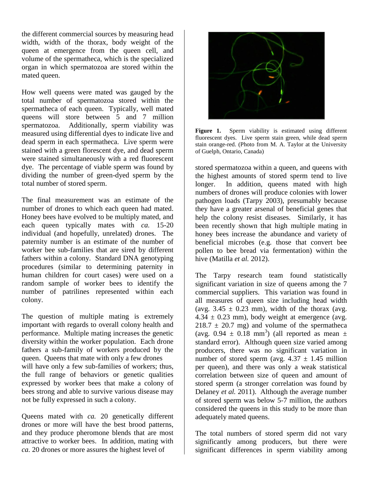the different commercial sources by measuring head width, width of the thorax, body weight of the queen at emergence from the queen cell, and volume of the spermatheca, which is the specialized organ in which spermatozoa are stored within the mated queen.

How well queens were mated was gauged by the total number of spermatozoa stored within the spermatheca of each queen. Typically, well mated queens will store between 5 and 7 million spermatozoa. Additionally, sperm viability was measured using differential dyes to indicate live and dead sperm in each spermatheca. Live sperm were stained with a green florescent dye, and dead sperm were stained simultaneously with a red fluorescent dye. The percentage of viable sperm was found by dividing the number of green-dyed sperm by the total number of stored sperm.

The final measurement was an estimate of the number of drones to which each queen had mated. Honey bees have evolved to be multiply mated, and each queen typically mates with *ca.* 15-20 individual (and hopefully, unrelated) drones. The paternity number is an estimate of the number of worker bee sub-families that are sired by different fathers within a colony. Standard DNA genotyping procedures (similar to determining paternity in human children for court cases) were used on a random sample of worker bees to identify the number of patrilines represented within each colony.

The question of multiple mating is extremely important with regards to overall colony health and performance. Multiple mating increases the genetic diversity within the worker population. Each drone fathers a sub-family of workers produced by the queen. Queens that mate with only a few drones will have only a few sub-families of workers; thus, the full range of behaviors or genetic qualities expressed by worker bees that make a colony of bees strong and able to survive various disease may not be fully expressed in such a colony.

Queens mated with *ca.* 20 genetically different drones or more will have the best brood patterns, and they produce pheromone blends that are most attractive to worker bees. In addition, mating with *ca.* 20 drones or more assures the highest level of



Figure 1. Sperm viability is estimated using different fluorescent dyes. Live sperm stain green, while dead sperm stain orange-red. (Photo from M. A. Taylor at the University of Guelph, Ontario, Canada)

stored spermatozoa within a queen, and queens with the highest amounts of stored sperm tend to live longer. In addition, queens mated with high numbers of drones will produce colonies with lower pathogen loads (Tarpy 2003), presumably because they have a greater arsenal of beneficial genes that help the colony resist diseases. Similarly, it has been recently shown that high multiple mating in honey bees increase the abundance and variety of beneficial microbes (e.g. those that convert bee pollen to bee bread via fermentation) within the hive (Matilla *et al.* 2012).

The Tarpy research team found statistically significant variation in size of queens among the 7 commercial suppliers. This variation was found in all measures of queen size including head width (avg.  $3.45 \pm 0.23$  mm), width of the thorax (avg.  $4.34 \pm 0.23$  mm), body weight at emergence (avg.  $218.7 \pm 20.7$  mg) and volume of the spermatheca (avg.  $0.94 \pm 0.18$  mm<sup>3</sup>) (all reported as mean  $\pm$ standard error). Although queen size varied among producers, there was no significant variation in number of stored sperm (avg.  $4.37 \pm 1.45$  million per queen), and there was only a weak statistical correlation between size of queen and amount of stored sperm (a stronger correlation was found by Delaney *et al.* 2011). Although the average number of stored sperm was below 5-7 million, the authors considered the queens in this study to be more than adequately mated queens.

The total numbers of stored sperm did not vary significantly among producers, but there were significant differences in sperm viability among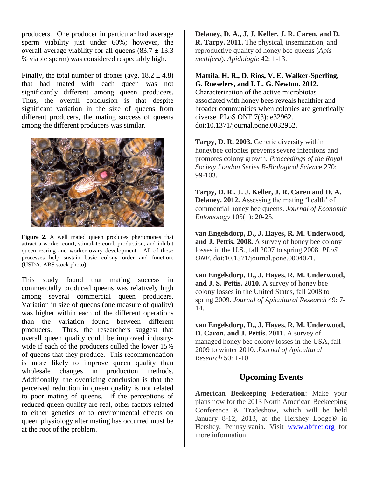producers. One producer in particular had average sperm viability just under 60%; however, the overall average viability for all queens  $(83.7 \pm 13.3)$ % viable sperm) was considered respectably high.

Finally, the total number of drones (avg.  $18.2 \pm 4.8$ ) that had mated with each queen was not significantly different among queen producers. Thus, the overall conclusion is that despite significant variation in the size of queens from different producers, the mating success of queens among the different producers was similar.



**Figure 2**. A well mated queen produces pheromones that attract a worker court, stimulate comb production, and inhibit queen rearing and worker ovary development. All of these processes help sustain basic colony order and function. (USDA, ARS stock photo)

This study found that mating success in commercially produced queens was relatively high among several commercial queen producers. Variation in size of queens (one measure of quality) was higher within each of the different operations than the variation found between different producers. Thus, the researchers suggest that overall queen quality could be improved industrywide if each of the producers culled the lower 15% of queens that they produce. This recommendation is more likely to improve queen quality than wholesale changes in production methods. Additionally, the overriding conclusion is that the perceived reduction in queen quality is not related to poor mating of queens. If the perceptions of reduced queen quality are real, other factors related to either genetics or to environmental effects on queen physiology after mating has occurred must be at the root of the problem.

**Delaney, D. A., J. J. Keller, J. R. Caren, and D. R. Tarpy. 2011.** The physical, insemination, and reproductive quality of honey bee queens (*Apis mellifera*). *Apidologie* 42: 1-13.

# **Mattila, H. R., D. Rios, V. E. Walker-Sperling, G. Roeselers, and I. L. G. Newton. 2012.**

Characterization of the active microbiotas associated with honey bees reveals healthier and broader communities when colonies are genetically diverse. PLoS ONE 7(3): e32962. doi:10.1371/journal.pone.0032962.

**Tarpy, D. R. 2003.** Genetic diversity within honeybee colonies prevents severe infections and promotes colony growth. *Proceedings of the Royal Society London Series B-Biological Scien*ce 270: 99-103.

**Tarpy, D. R., J. J. Keller, J. R. Caren and D. A. Delaney. 2012.** Assessing the mating 'health' of commercial honey bee queens. *Journal of Economic Entomology* 105(1): 20-25.

**van Engelsdorp, D., J. Hayes, R. M. Underwood, and J. Pettis. 2008.** A survey of honey bee colony losses in the U.S., fall 2007 to spring 2008. *PLoS ONE*. doi:10.1371/journal.pone.0004071.

**van Engelsdorp, D., J. Hayes, R. M. Underwood, and J. S. Pettis. 2010.** A survey of honey bee colony losses in the United States, fall 2008 to spring 2009. *Journal of Apicultural Research* 49: 7- 14.

**van Engelsdorp, D., J. Hayes, R. M. Underwood, D. Caron, and J. Pettis. 2011.** A survey of managed honey bee colony losses in the USA, fall 2009 to winter 2010. *Journal of Apicultural Research* 50: 1-10.

### **Upcoming Events**

**American Beekeeping Federation**: Make your plans now for the 2013 North American Beekeeping Conference & Tradeshow, which will be held January 8-12, 2013, at the Hershey Lodge<sup>®</sup> in Hershey, Pennsylvania. Visit [www.abfnet.org](http://www.abfnet.org/) for more information.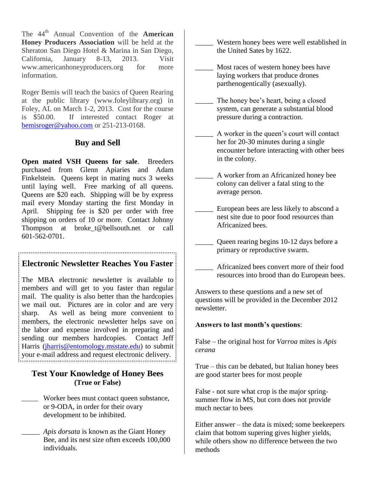The 44th Annual Convention of the **American Honey Producers Association** will be held at the Sheraton San Diego Hotel & Marina in San Diego, California, January 8-13, 2013. Visit www.americanhoneyproducers.org for more information.

Roger Bemis will teach the basics of Queen Rearing at the public library (www.foleylibrary.org) in Foley, AL on March 1-2, 2013. Cost for the course is \$50.00. If interested contact Roger at [bemisroger@yahoo.com](mailto:bemisroger@yahoo.com) or 251-213-0168.

# **Buy and Sell**

**Open mated VSH Queens for sale**. Breeders purchased from Glenn Apiaries and Adam Finkelstein. Queens kept in mating nucs 3 weeks until laying well. Free marking of all queens. Queens are \$20 each. Shipping will be by express mail every Monday starting the first Monday in April. Shipping fee is \$20 per order with free shipping on orders of 10 or more. Contact Johnny Thompson at broke\_t@bellsouth.net or call 601-562-0701.

# **Electronic Newsletter Reaches You Faster**

The MBA electronic newsletter is available to members and will get to you faster than regular mail. The quality is also better than the hardcopies we mail out. Pictures are in color and are very sharp. As well as being more convenient to members, the electronic newsletter helps save on the labor and expense involved in preparing and sending our members hardcopies. Contact Jeff: Harris [\(jharris@entomology.msstate.edu\)](mailto:jharris@entomology.msstate.edu) to submit: your e-mail address and request electronic delivery.

#### **Test Your Knowledge of Honey Bees (True or False)**

Worker bees must contact queen substance, or 9-ODA, in order for their ovary development to be inhibited.

\_\_\_\_\_ *Apis dorsata* is known as the Giant Honey Bee, and its nest size often exceeds 100,000 individuals.

- Western honey bees were well established in the United Sates by 1622.
- Most races of western honey bees have laying workers that produce drones parthenogentically (asexually).
- The honey bee's heart, being a closed system, can generate a substantial blood pressure during a contraction.
- \_\_\_\_\_ A worker in the queen's court will contact her for 20-30 minutes during a single encounter before interacting with other bees in the colony.
- A worker from an Africanized honey bee colony can deliver a fatal sting to the average person.
- European bees are less likely to abscond a nest site due to poor food resources than Africanized bees.
	- Queen rearing begins 10-12 days before a primary or reproductive swarm.
	- \_\_\_\_\_ Africanized bees convert more of their food resources into brood than do European bees.

Answers to these questions and a new set of questions will be provided in the December 2012 newsletter.

#### **Answers to last month's questions**:

False – the original host for *Varroa* mites is *Apis cerana*

True – this can be debated, but Italian honey bees are good starter bees for most people

False - not sure what crop is the major springsummer flow in MS, but corn does not provide much nectar to bees

Either answer – the data is mixed; some beekeepers claim that bottom supering gives higher yields, while others show no difference between the two methods